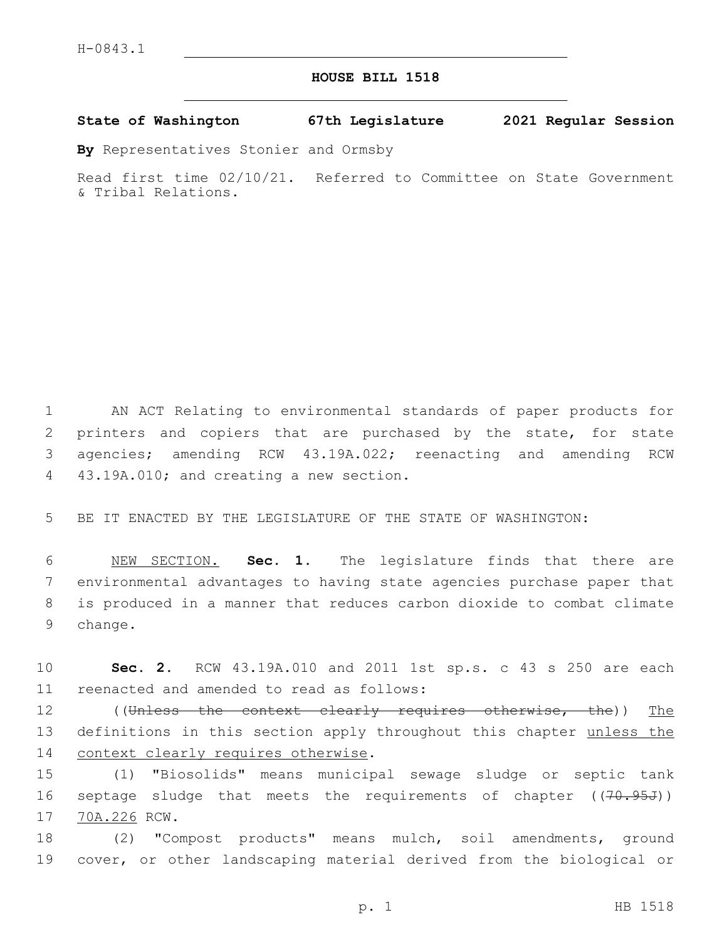## **HOUSE BILL 1518**

**State of Washington 67th Legislature 2021 Regular Session**

**By** Representatives Stonier and Ormsby

Read first time 02/10/21. Referred to Committee on State Government & Tribal Relations.

 AN ACT Relating to environmental standards of paper products for printers and copiers that are purchased by the state, for state agencies; amending RCW 43.19A.022; reenacting and amending RCW 4 43.19A.010; and creating a new section.

5 BE IT ENACTED BY THE LEGISLATURE OF THE STATE OF WASHINGTON:

 NEW SECTION. **Sec. 1.** The legislature finds that there are environmental advantages to having state agencies purchase paper that is produced in a manner that reduces carbon dioxide to combat climate 9 change.

10 **Sec. 2.** RCW 43.19A.010 and 2011 1st sp.s. c 43 s 250 are each 11 reenacted and amended to read as follows:

12 ((Unless the context clearly requires otherwise, the)) The 13 definitions in this section apply throughout this chapter unless the 14 context clearly requires otherwise.

15 (1) "Biosolids" means municipal sewage sludge or septic tank 16 septage sludge that meets the requirements of chapter ((70.95J)) 17 70A.226 RCW.

18 (2) "Compost products" means mulch, soil amendments, ground 19 cover, or other landscaping material derived from the biological or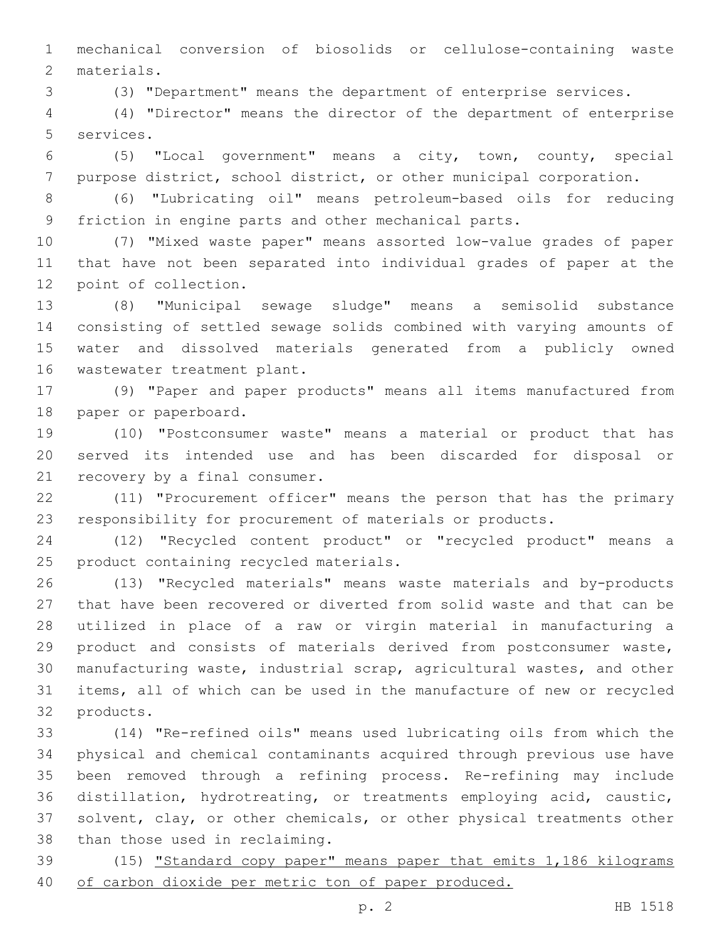mechanical conversion of biosolids or cellulose-containing waste 2 materials.

(3) "Department" means the department of enterprise services.

 (4) "Director" means the director of the department of enterprise 5 services.

 (5) "Local government" means a city, town, county, special purpose district, school district, or other municipal corporation.

 (6) "Lubricating oil" means petroleum-based oils for reducing friction in engine parts and other mechanical parts.

 (7) "Mixed waste paper" means assorted low-value grades of paper that have not been separated into individual grades of paper at the 12 point of collection.

 (8) "Municipal sewage sludge" means a semisolid substance consisting of settled sewage solids combined with varying amounts of water and dissolved materials generated from a publicly owned 16 wastewater treatment plant.

 (9) "Paper and paper products" means all items manufactured from 18 paper or paperboard.

 (10) "Postconsumer waste" means a material or product that has served its intended use and has been discarded for disposal or 21 recovery by a final consumer.

 (11) "Procurement officer" means the person that has the primary responsibility for procurement of materials or products.

 (12) "Recycled content product" or "recycled product" means a 25 product containing recycled materials.

 (13) "Recycled materials" means waste materials and by-products that have been recovered or diverted from solid waste and that can be utilized in place of a raw or virgin material in manufacturing a product and consists of materials derived from postconsumer waste, manufacturing waste, industrial scrap, agricultural wastes, and other items, all of which can be used in the manufacture of new or recycled 32 products.

 (14) "Re-refined oils" means used lubricating oils from which the physical and chemical contaminants acquired through previous use have been removed through a refining process. Re-refining may include distillation, hydrotreating, or treatments employing acid, caustic, solvent, clay, or other chemicals, or other physical treatments other 38 than those used in reclaiming.

39 (15) "Standard copy paper" means paper that emits 1,186 kilograms 40 of carbon dioxide per metric ton of paper produced.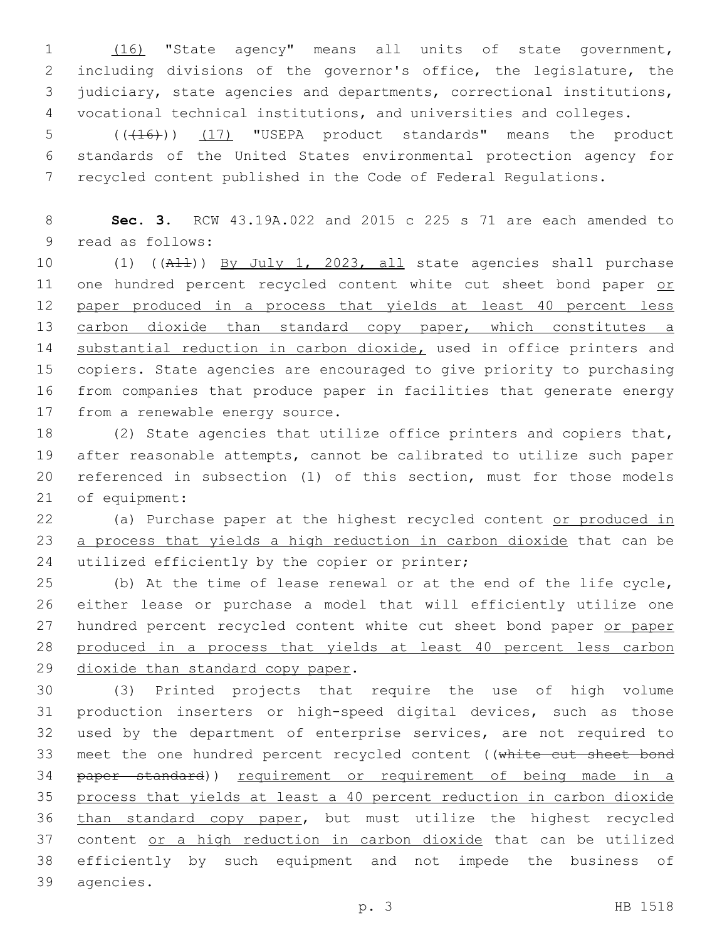(16) "State agency" means all units of state government, including divisions of the governor's office, the legislature, the judiciary, state agencies and departments, correctional institutions, vocational technical institutions, and universities and colleges.

5 (( $(16)$ )) (17) "USEPA product standards" means the product 6 standards of the United States environmental protection agency for 7 recycled content published in the Code of Federal Regulations.

8 **Sec. 3.** RCW 43.19A.022 and 2015 c 225 s 71 are each amended to 9 read as follows:

10 (1) ((All)) By July 1, 2023, all state agencies shall purchase 11 one hundred percent recycled content white cut sheet bond paper or 12 paper produced in a process that yields at least 40 percent less 13 carbon dioxide than standard copy paper, which constitutes a 14 substantial reduction in carbon dioxide, used in office printers and 15 copiers. State agencies are encouraged to give priority to purchasing 16 from companies that produce paper in facilities that generate energy 17 from a renewable energy source.

 (2) State agencies that utilize office printers and copiers that, after reasonable attempts, cannot be calibrated to utilize such paper referenced in subsection (1) of this section, must for those models 21 of equipment:

22 (a) Purchase paper at the highest recycled content or produced in 23 a process that yields a high reduction in carbon dioxide that can be 24 utilized efficiently by the copier or printer;

25 (b) At the time of lease renewal or at the end of the life cycle, 26 either lease or purchase a model that will efficiently utilize one 27 hundred percent recycled content white cut sheet bond paper or paper 28 produced in a process that yields at least 40 percent less carbon 29 dioxide than standard copy paper.

 (3) Printed projects that require the use of high volume production inserters or high-speed digital devices, such as those used by the department of enterprise services, are not required to meet the one hundred percent recycled content ((white cut sheet bond 34 paper standard)) requirement or requirement of being made in a process that yields at least a 40 percent reduction in carbon dioxide than standard copy paper, but must utilize the highest recycled 37 content or a high reduction in carbon dioxide that can be utilized efficiently by such equipment and not impede the business of 39 agencies.